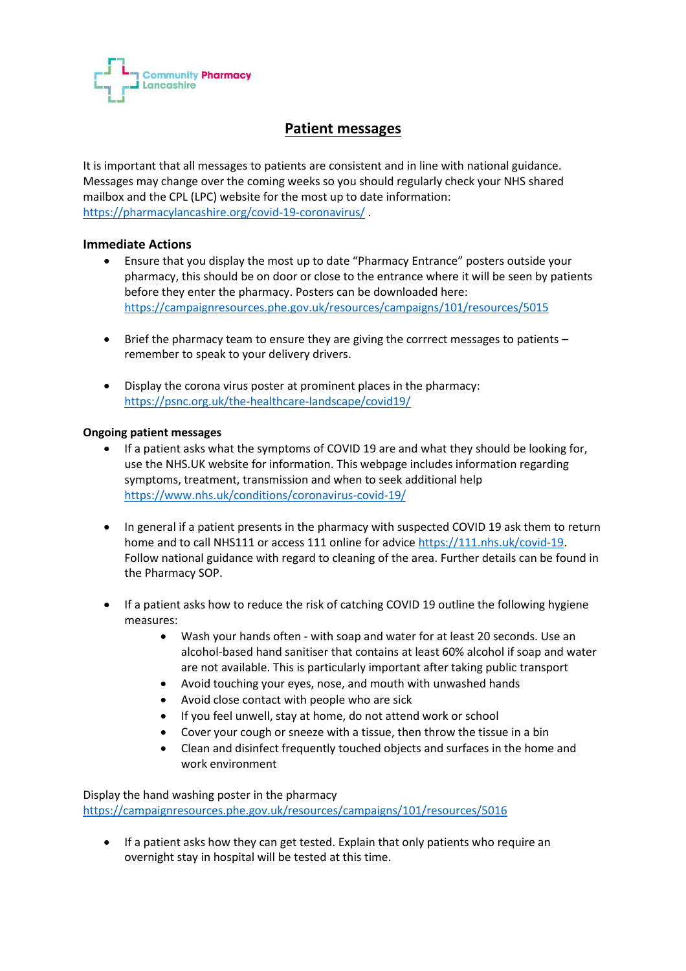

## **Patient messages**

It is important that all messages to patients are consistent and in line with national guidance. Messages may change over the coming weeks so you should regularly check your NHS shared mailbox and the CPL (LPC) website for the most up to date information: <https://pharmacylancashire.org/covid-19-coronavirus/> .

## **Immediate Actions**

- Ensure that you display the most up to date "Pharmacy Entrance" posters outside your pharmacy, this should be on door or close to the entrance where it will be seen by patients before they enter the pharmacy. Posters can be downloaded here: <https://campaignresources.phe.gov.uk/resources/campaigns/101/resources/5015>
- Brief the pharmacy team to ensure they are giving the corrrect messages to patients remember to speak to your delivery drivers.
- Display the corona virus poster at prominent places in the pharmacy: <https://psnc.org.uk/the-healthcare-landscape/covid19/>

## **Ongoing patient messages**

- If a patient asks what the symptoms of COVID 19 are and what they should be looking for, use the NHS.UK website for information. This webpage includes information regarding symptoms, treatment, transmission and when to seek additional help <https://www.nhs.uk/conditions/coronavirus-covid-19/>
- In general if a patient presents in the pharmacy with suspected COVID 19 ask them to return home and to call NHS111 or access 111 online for advice [https://111.nhs.uk/covid-19.](https://111.nhs.uk/covid-19) Follow national guidance with regard to cleaning of the area. Further details can be found in the Pharmacy SOP.
- If a patient asks how to reduce the risk of catching COVID 19 outline the following hygiene measures:
	- Wash your hands often with soap and water for at least 20 seconds. Use an alcohol-based hand sanitiser that contains at least 60% alcohol if soap and water are not available. This is particularly important after taking public transport
	- Avoid touching your eyes, nose, and mouth with unwashed hands
	- Avoid close contact with people who are sick
	- If you feel unwell, stay at home, do not attend work or school
	- Cover your cough or sneeze with a tissue, then throw the tissue in a bin
	- Clean and disinfect frequently touched objects and surfaces in the home and work environment

Display the hand washing poster in the pharmacy <https://campaignresources.phe.gov.uk/resources/campaigns/101/resources/5016>

 If a patient asks how they can get tested. Explain that only patients who require an overnight stay in hospital will be tested at this time.